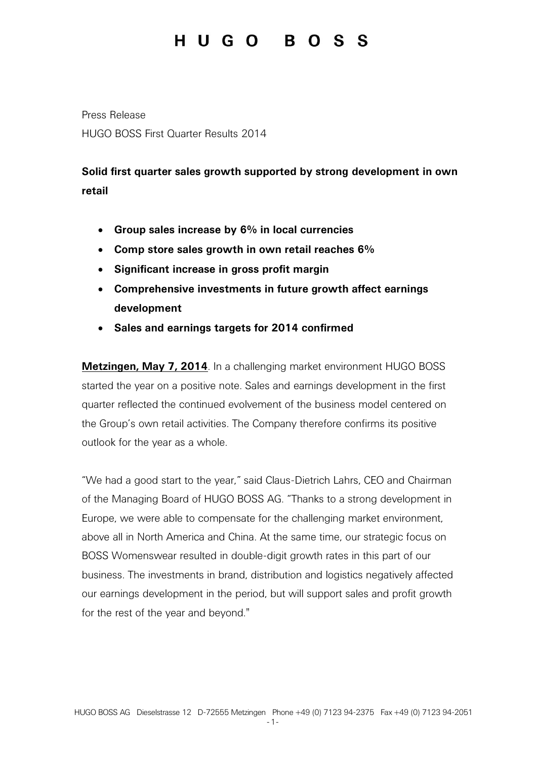Press Release HUGO BOSS First Quarter Results 2014

### **Solid first quarter sales growth supported by strong development in own retail**

- **Group sales increase by 6% in local currencies**
- **Comp store sales growth in own retail reaches 6%**
- **Significant increase in gross profit margin**
- **Comprehensive investments in future growth affect earnings development**
- **Sales and earnings targets for 2014 confirmed**

**Metzingen, May 7, 2014**. In a challenging market environment HUGO BOSS started the year on a positive note. Sales and earnings development in the first quarter reflected the continued evolvement of the business model centered on the Group's own retail activities. The Company therefore confirms its positive outlook for the year as a whole.

"We had a good start to the year," said Claus-Dietrich Lahrs, CEO and Chairman of the Managing Board of HUGO BOSS AG. "Thanks to a strong development in Europe, we were able to compensate for the challenging market environment, above all in North America and China. At the same time, our strategic focus on BOSS Womenswear resulted in double-digit growth rates in this part of our business. The investments in brand, distribution and logistics negatively affected our earnings development in the period, but will support sales and profit growth for the rest of the year and beyond."

-1-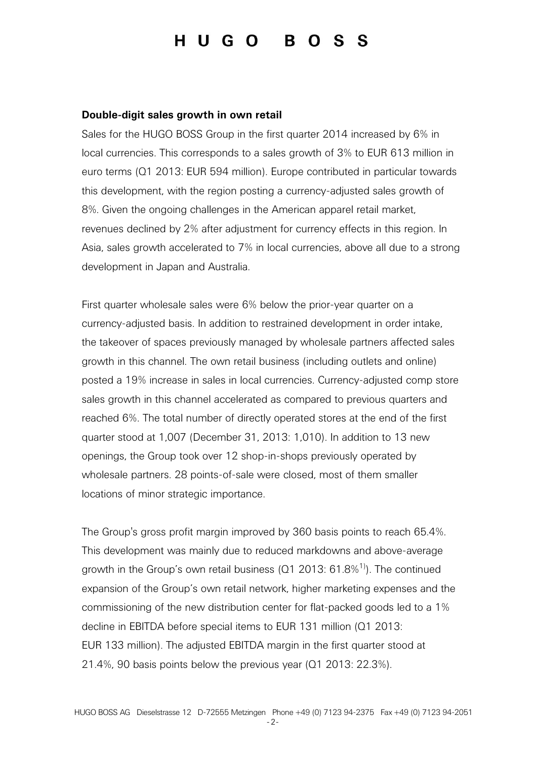#### **Double-digit sales growth in own retail**

Sales for the HUGO BOSS Group in the first quarter 2014 increased by 6% in local currencies. This corresponds to a sales growth of 3% to EUR 613 million in euro terms (Q1 2013: EUR 594 million). Europe contributed in particular towards this development, with the region posting a currency-adjusted sales growth of 8%. Given the ongoing challenges in the American apparel retail market, revenues declined by 2% after adjustment for currency effects in this region. In Asia, sales growth accelerated to 7% in local currencies, above all due to a strong development in Japan and Australia.

First quarter wholesale sales were 6% below the prior-year quarter on a currency-adjusted basis. In addition to restrained development in order intake, the takeover of spaces previously managed by wholesale partners affected sales growth in this channel. The own retail business (including outlets and online) posted a 19% increase in sales in local currencies. Currency-adjusted comp store sales growth in this channel accelerated as compared to previous quarters and reached 6%. The total number of directly operated stores at the end of the first quarter stood at 1,007 (December 31, 2013: 1,010). In addition to 13 new openings, the Group took over 12 shop-in-shops previously operated by wholesale partners. 28 points-of-sale were closed, most of them smaller locations of minor strategic importance.

The Group's gross profit margin improved by 360 basis points to reach 65.4%. This development was mainly due to reduced markdowns and above-average growth in the Group's own retail business ( $Q1$  2013: 61.8%<sup>1)</sup>). The continued expansion of the Group's own retail network, higher marketing expenses and the commissioning of the new distribution center for flat-packed goods led to a 1% decline in EBITDA before special items to EUR 131 million (Q1 2013: EUR 133 million). The adjusted EBITDA margin in the first quarter stood at 21.4%, 90 basis points below the previous year (Q1 2013: 22.3%).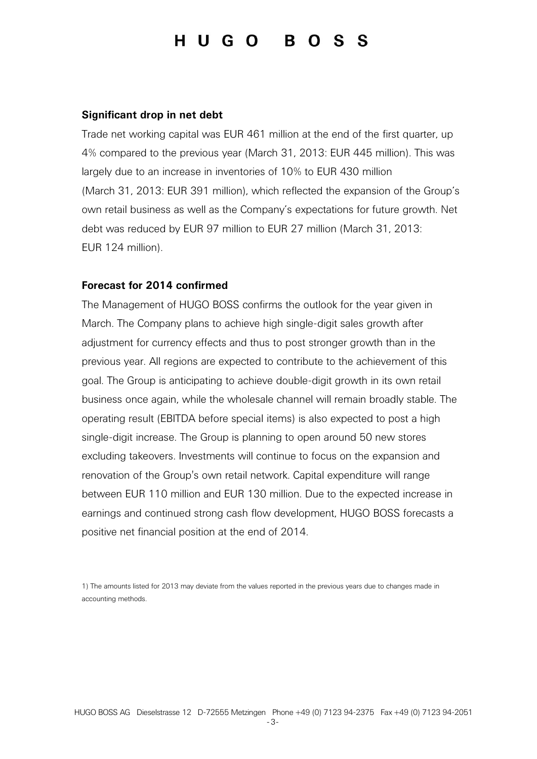#### **Significant drop in net debt**

Trade net working capital was EUR 461 million at the end of the first quarter, up 4% compared to the previous year (March 31, 2013: EUR 445 million). This was largely due to an increase in inventories of 10% to EUR 430 million (March 31, 2013: EUR 391 million), which reflected the expansion of the Group's own retail business as well as the Company's expectations for future growth. Net debt was reduced by EUR 97 million to EUR 27 million (March 31, 2013: EUR 124 million).

#### **Forecast for 2014 confirmed**

The Management of HUGO BOSS confirms the outlook for the year given in March. The Company plans to achieve high single-digit sales growth after adjustment for currency effects and thus to post stronger growth than in the previous year. All regions are expected to contribute to the achievement of this goal. The Group is anticipating to achieve double-digit growth in its own retail business once again, while the wholesale channel will remain broadly stable. The operating result (EBITDA before special items) is also expected to post a high single-digit increase. The Group is planning to open around 50 new stores excluding takeovers. Investments will continue to focus on the expansion and renovation of the Group's own retail network. Capital expenditure will range between EUR 110 million and EUR 130 million. Due to the expected increase in earnings and continued strong cash flow development, HUGO BOSS forecasts a positive net financial position at the end of 2014.

1) The amounts listed for 2013 may deviate from the values reported in the previous years due to changes made in accounting methods.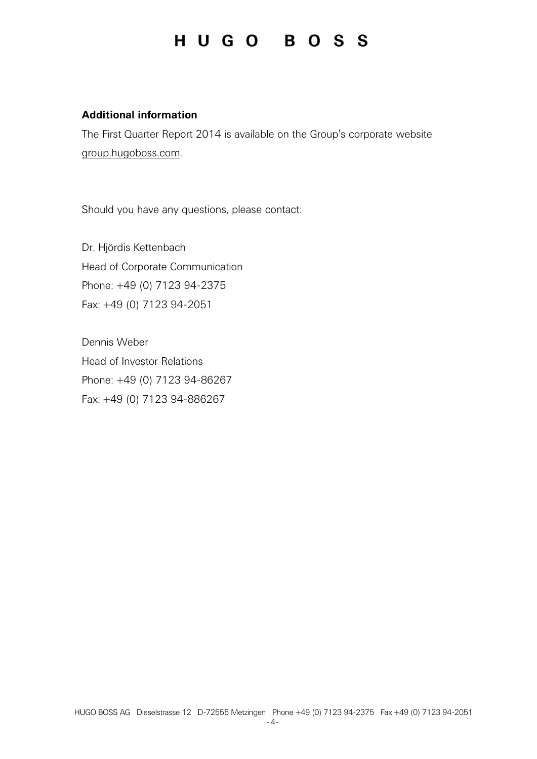#### **Additional information**

The First Quarter Report 2014 is available on the Group's corporate website [group.hugoboss.com.](http://group.hugoboss.com/en/index.htm)

Should you have any questions, please contact:

Dr. Hjördis Kettenbach Head of Corporate Communication Phone: +49 (0) 7123 94-2375 Fax: +49 (0) 7123 94-2051

Dennis Weber Head of Investor Relations Phone: +49 (0) 7123 94-86267 Fax: +49 (0) 7123 94-886267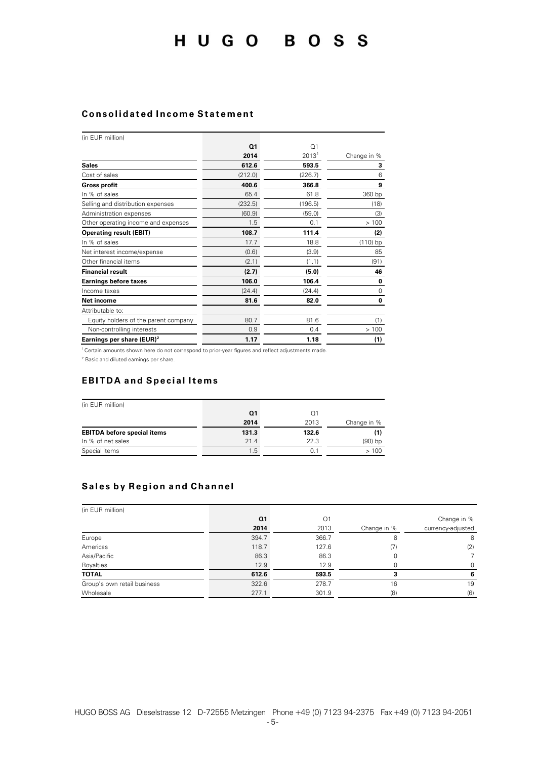#### **Consolidated Income Statement**

| (in EUR million)                     |         |                   |             |
|--------------------------------------|---------|-------------------|-------------|
|                                      | Q1      | O <sub>1</sub>    |             |
|                                      | 2014    | 2013 <sup>1</sup> | Change in % |
| <b>Sales</b>                         | 612.6   | 593.5             | 3           |
| Cost of sales                        | (212.0) | (226.7)           | 6           |
| <b>Gross profit</b>                  | 400.6   | 366.8             | 9           |
| In % of sales                        | 65.4    | 61.8              | 360 bp      |
| Selling and distribution expenses    | (232.5) | (196.5)           | (18)        |
| Administration expenses              | (60.9)  | (59.0)            | (3)         |
| Other operating income and expenses  | 1.5     | 0.1               | >100        |
| <b>Operating result (EBIT)</b>       | 108.7   | 111.4             | (2)         |
| In % of sales                        | 17.7    | 18.8              | $(110)$ bp  |
| Net interest income/expense          | (0.6)   | (3.9)             | 85          |
| Other financial items                | (2.1)   | (1.1)             | (91)        |
| <b>Financial result</b>              | (2.7)   | (5.0)             | 46          |
| <b>Earnings before taxes</b>         | 106.0   | 106.4             | 0           |
| Income taxes                         | (24.4)  | (24.4)            | $\mathbf 0$ |
| Net income                           | 81.6    | 82.0              | 0           |
| Attributable to:                     |         |                   |             |
| Equity holders of the parent company | 80.7    | 81.6              | (1)         |
| Non-controlling interests            | 0.9     | 0.4               | >100        |
| Earnings per share $(EUR)^2$         | 1.17    | 1.18              | (1)         |

 $1$  Certain amounts shown here do not correspond to prior-year figures and reflect adjustments made.

<sup>2</sup> Basic and diluted earnings per share.

#### **EBITDA and Special Items**

| (in EUR million)                   |       |       |              |
|------------------------------------|-------|-------|--------------|
|                                    | Q1    | Ω1    |              |
|                                    | 2014  | 2013  | Change in %  |
| <b>EBITDA</b> before special items | 131.3 | 132.6 | $\mathbf{C}$ |
| In % of net sales                  | 21.4  | 22.3  | $(90)$ bp    |
| Special items                      | 1.5   | 0.1   | >100         |

#### **Sales by Region and Channel**

| (in EUR million)            |                |                |             |                   |
|-----------------------------|----------------|----------------|-------------|-------------------|
|                             | Q <sub>1</sub> | Q <sub>1</sub> |             | Change in %       |
|                             | 2014           | 2013           | Change in % | currency-adjusted |
| Europe                      | 394.7          | 366.7          | 8           | 8                 |
| Americas                    | 118.7          | 127.6          | (7)         | (2)               |
| Asia/Pacific                | 86.3           | 86.3           |             |                   |
| Royalties                   | 12.9           | 12.9           |             | $\Omega$          |
| <b>TOTAL</b>                | 612.6          | 593.5          |             | 6                 |
| Group's own retail business | 322.6          | 278.7          | 16          | 19                |
| Wholesale                   | 277.1          | 301.9          | (8)         | (6)               |
|                             |                |                |             |                   |